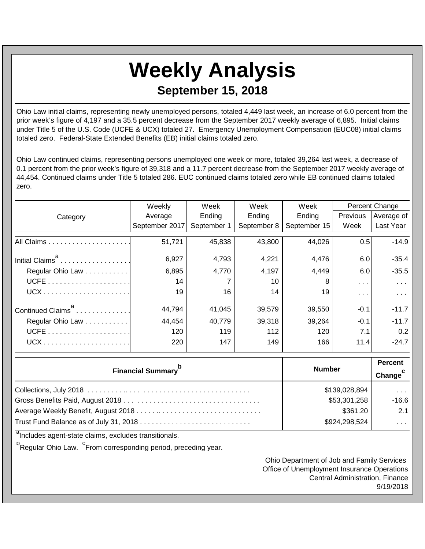## **Weekly Analysis September 15, 2018**

Ohio Law initial claims, representing newly unemployed persons, totaled 4,449 last week, an increase of 6.0 percent from the prior week's figure of 4,197 and a 35.5 percent decrease from the September 2017 weekly average of 6,895. Initial claims under Title 5 of the U.S. Code (UCFE & UCX) totaled 27. Emergency Unemployment Compensation (EUC08) initial claims totaled zero. Federal-State Extended Benefits (EB) initial claims totaled zero.

Ohio Law continued claims, representing persons unemployed one week or more, totaled 39,264 last week, a decrease of 0.1 percent from the prior week's figure of 39,318 and a 11.7 percent decrease from the September 2017 weekly average of 44,454. Continued claims under Title 5 totaled 286. EUC continued claims totaled zero while EB continued claims totaled zero.

|                                       | Weekly         | Week        | Week                | Week         | Percent Change |                       |
|---------------------------------------|----------------|-------------|---------------------|--------------|----------------|-----------------------|
| Category                              | Average        | Ending      | Ending              | Ending       | Previous       | Average of            |
|                                       | September 2017 | September 1 | September 8         | September 15 | Week           | Last Year             |
|                                       | 51,721         | 45,838      | 43,800              | 44,026       | 0.5            | $-14.9$               |
| Initial Claims <sup>a</sup>           | 6,927          | 4,793       | 4,221               | 4,476        | 6.0            | $-35.4$               |
| Regular Ohio Law                      | 6,895          | 4,770       | 4,197               | 4,449        | 6.0            | $-35.5$               |
|                                       | 14             |             | 10                  | 8            | $\sim$ $\sim$  | $\sim 10^{-1}$        |
|                                       | 19             | 16          | 14                  | 19           | $\sim 100$     | $\sim 100$ km $^{-1}$ |
| Continued Claims <sup>a</sup>         | 44,794         | 41,045      | 39,579              | 39,550       | $-0.1$         | $-11.7$               |
| Regular Ohio Law                      | 44,454         | 40,779      | 39,318              | 39,264       | $-0.1$         | $-11.7$               |
|                                       | 120            | 119         | 112                 | 120          | 7.1            | 0.2                   |
|                                       | 220            | 147         | 149                 | 166          | 11.4           | $-24.7$               |
|                                       |                |             | <b>Percent</b>      |              |                |                       |
| <b>Financial Summary</b> <sup>b</sup> | <b>Number</b>  |             | Change <sup>c</sup> |              |                |                       |
|                                       | \$139,028,894  |             | $\sim 100$          |              |                |                       |
|                                       |                |             |                     |              | \$53,301,258   |                       |

| აიი საკითა    | -10.0                |
|---------------|----------------------|
| \$361.20      | 2.1                  |
| \$924,298,524 | $\sim$ $\sim$ $\sim$ |

<sup>a</sup>Includes agent-state claims, excludes transitionals.

<sup>b</sup>Regular Ohio Law. <sup>C</sup>From corresponding period, preceding year.

Ohio Department of Job and Family Services Office of Unemployment Insurance Operations Central Administration, Finance 9/19/2018